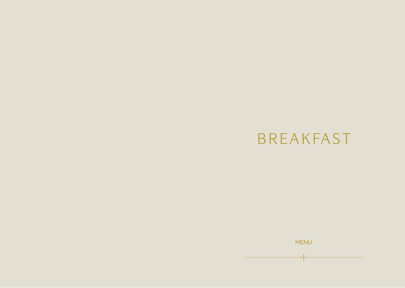# BREAKFAST